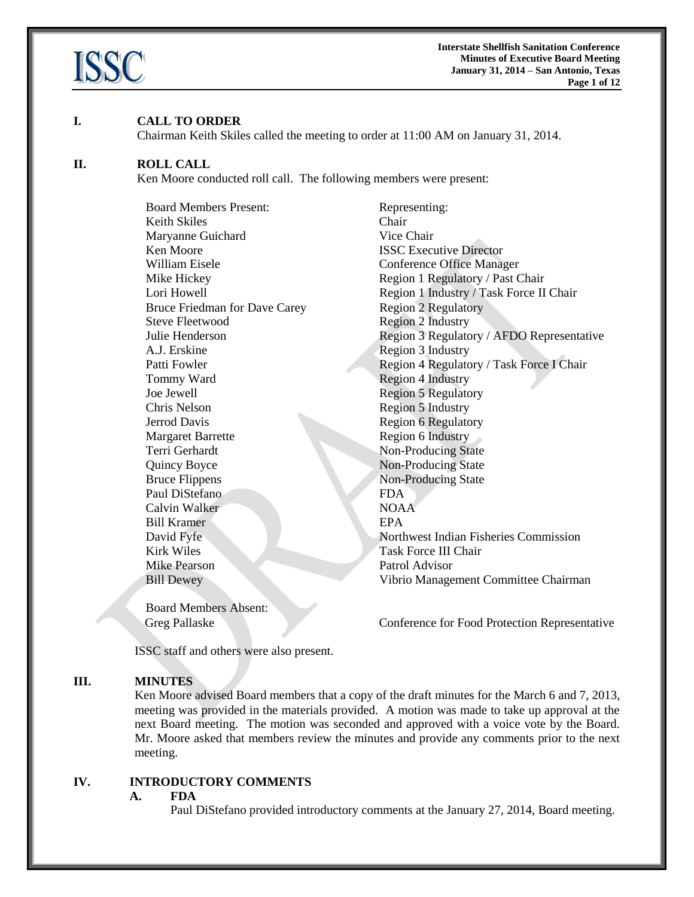

### **I. CALL TO ORDER**

Chairman Keith Skiles called the meeting to order at 11:00 AM on January 31, 2014.

#### **II. ROLL CALL**

Ken Moore conducted roll call. The following members were present:

Board Members Present: Representing: Keith Skiles Chair Maryanne Guichard Vice Chair **Ken Moore ISSC Executive Director** William Eisele **Conference Office Manager** Bruce Friedman for Dave Carey Region 2 Regulatory Steve Fleetwood Region 2 Industry A.J. Erskine Region 3 Industry Tommy Ward Region 4 Industry Joe Jewell Region 5 Regulatory Chris Nelson Region 5 Industry Jerrod Davis Region 6 Regulatory Margaret Barrette Region 6 Industry Terri Gerhardt Non-Producing State Quincy Boyce Non-Producing State Bruce Flippens Non-Producing State Paul DiStefano FDA Calvin Walker NOAA Bill Kramer EPA Kirk Wiles **Task Force III Chair** Mike Pearson Patrol Advisor

Board Members Absent:

Mike Hickey Region 1 Regulatory / Past Chair Lori Howell Region 1 Industry / Task Force II Chair Julie Henderson Region 3 Regulatory / AFDO Representative Patti Fowler **Patti Foulder Region 4 Regulatory / Task Force I Chair** David Fyfe Northwest Indian Fisheries Commission Bill Dewey Vibrio Management Committee Chairman

Greg Pallaske Conference for Food Protection Representative

ISSC staff and others were also present.

## **III. MINUTES**

Ken Moore advised Board members that a copy of the draft minutes for the March 6 and 7, 2013, meeting was provided in the materials provided. A motion was made to take up approval at the next Board meeting. The motion was seconded and approved with a voice vote by the Board. Mr. Moore asked that members review the minutes and provide any comments prior to the next meeting.

# **IV. INTRODUCTORY COMMENTS**

#### **A. FDA**

Paul DiStefano provided introductory comments at the January 27, 2014, Board meeting.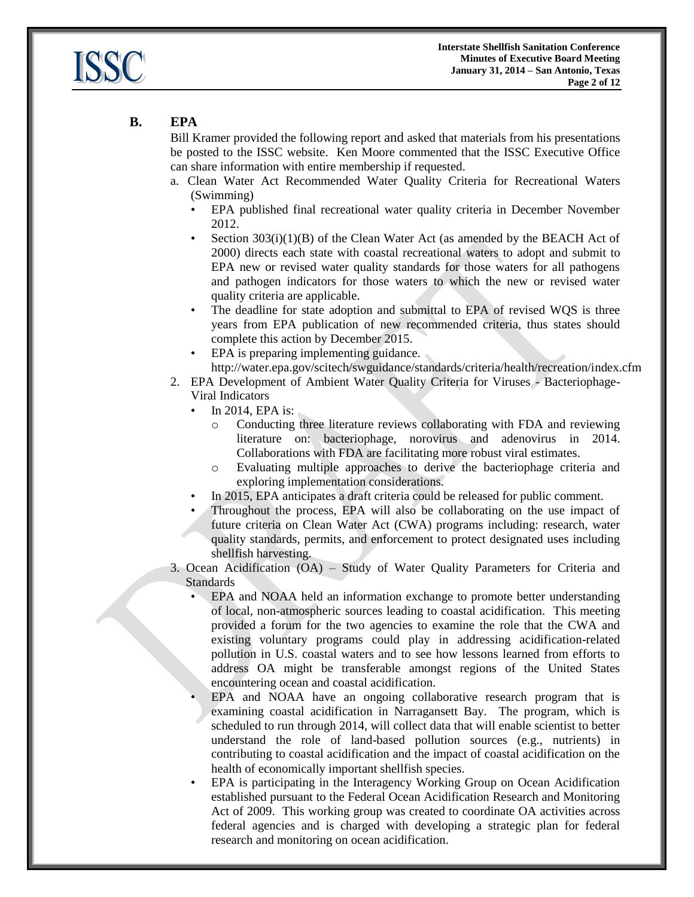

# **B. EPA**

Bill Kramer provided the following report and asked that materials from his presentations be posted to the ISSC website. Ken Moore commented that the ISSC Executive Office can share information with entire membership if requested.

- a. Clean Water Act Recommended Water Quality Criteria for Recreational Waters (Swimming)
	- EPA published final recreational water quality criteria in December November 2012.
	- Section  $303(i)(1)(B)$  of the Clean Water Act (as amended by the BEACH Act of 2000) directs each state with coastal recreational waters to adopt and submit to EPA new or revised water quality standards for those waters for all pathogens and pathogen indicators for those waters to which the new or revised water quality criteria are applicable.
	- The deadline for state adoption and submittal to EPA of revised WQS is three years from EPA publication of new recommended criteria, thus states should complete this action by December 2015.
	- EPA is preparing implementing guidance. http://water.epa.gov/scitech/swguidance/standards/criteria/health/recreation/index.cfm
- 2. EPA Development of Ambient Water Quality Criteria for Viruses Bacteriophage-Viral Indicators
	- In 2014, EPA is:
		- o Conducting three literature reviews collaborating with FDA and reviewing literature on: bacteriophage, norovirus and adenovirus in 2014. Collaborations with FDA are facilitating more robust viral estimates.
		- o Evaluating multiple approaches to derive the bacteriophage criteria and exploring implementation considerations.
	- In 2015, EPA anticipates a draft criteria could be released for public comment.
	- Throughout the process, EPA will also be collaborating on the use impact of future criteria on Clean Water Act (CWA) programs including: research, water quality standards, permits, and enforcement to protect designated uses including shellfish harvesting.

3. Ocean Acidification (OA) – Study of Water Quality Parameters for Criteria and Standards

- EPA and NOAA held an information exchange to promote better understanding of local, non-atmospheric sources leading to coastal acidification. This meeting provided a forum for the two agencies to examine the role that the CWA and existing voluntary programs could play in addressing acidification-related pollution in U.S. coastal waters and to see how lessons learned from efforts to address OA might be transferable amongst regions of the United States encountering ocean and coastal acidification.
- EPA and NOAA have an ongoing collaborative research program that is examining coastal acidification in Narragansett Bay. The program, which is scheduled to run through 2014, will collect data that will enable scientist to better understand the role of land-based pollution sources (e.g., nutrients) in contributing to coastal acidification and the impact of coastal acidification on the health of economically important shellfish species.
- EPA is participating in the Interagency Working Group on Ocean Acidification established pursuant to the Federal Ocean Acidification Research and Monitoring Act of 2009. This working group was created to coordinate OA activities across federal agencies and is charged with developing a strategic plan for federal research and monitoring on ocean acidification.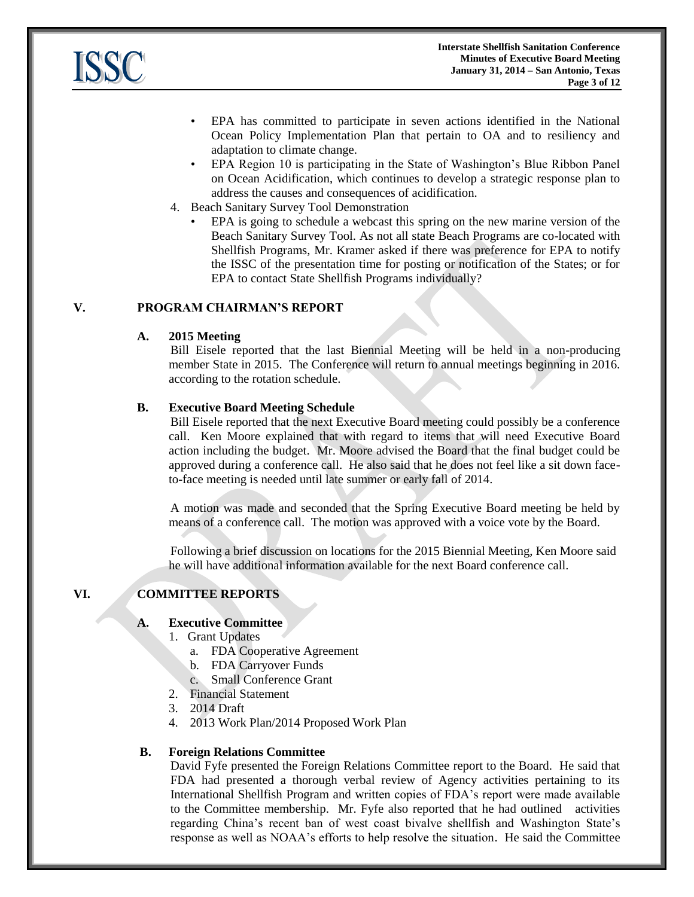

- EPA has committed to participate in seven actions identified in the National Ocean Policy Implementation Plan that pertain to OA and to resiliency and adaptation to climate change.
- EPA Region 10 is participating in the State of Washington's Blue Ribbon Panel on Ocean Acidification, which continues to develop a strategic response plan to address the causes and consequences of acidification.
- 4. Beach Sanitary Survey Tool Demonstration
	- EPA is going to schedule a webcast this spring on the new marine version of the Beach Sanitary Survey Tool. As not all state Beach Programs are co-located with Shellfish Programs, Mr. Kramer asked if there was preference for EPA to notify the ISSC of the presentation time for posting or notification of the States; or for EPA to contact State Shellfish Programs individually?

## **V. PROGRAM CHAIRMAN'S REPORT**

### **A. 2015 Meeting**

Bill Eisele reported that the last Biennial Meeting will be held in a non-producing member State in 2015. The Conference will return to annual meetings beginning in 2016. according to the rotation schedule.

### **B. Executive Board Meeting Schedule**

Bill Eisele reported that the next Executive Board meeting could possibly be a conference call. Ken Moore explained that with regard to items that will need Executive Board action including the budget. Mr. Moore advised the Board that the final budget could be approved during a conference call. He also said that he does not feel like a sit down faceto-face meeting is needed until late summer or early fall of 2014.

A motion was made and seconded that the Spring Executive Board meeting be held by means of a conference call. The motion was approved with a voice vote by the Board.

Following a brief discussion on locations for the 2015 Biennial Meeting, Ken Moore said he will have additional information available for the next Board conference call.

# **VI. COMMITTEE REPORTS**

# **A. Executive Committee**

- 1. Grant Updates
	- a. FDA Cooperative Agreement
	- b. FDA Carryover Funds
	- c. Small Conference Grant
- 2. Financial Statement
- 3. 2014 Draft
- 4. 2013 Work Plan/2014 Proposed Work Plan

#### **B. Foreign Relations Committee**

David Fyfe presented the Foreign Relations Committee report to the Board. He said that FDA had presented a thorough verbal review of Agency activities pertaining to its International Shellfish Program and written copies of FDA's report were made available to the Committee membership. Mr. Fyfe also reported that he had outlined activities regarding China's recent ban of west coast bivalve shellfish and Washington State's response as well as NOAA's efforts to help resolve the situation. He said the Committee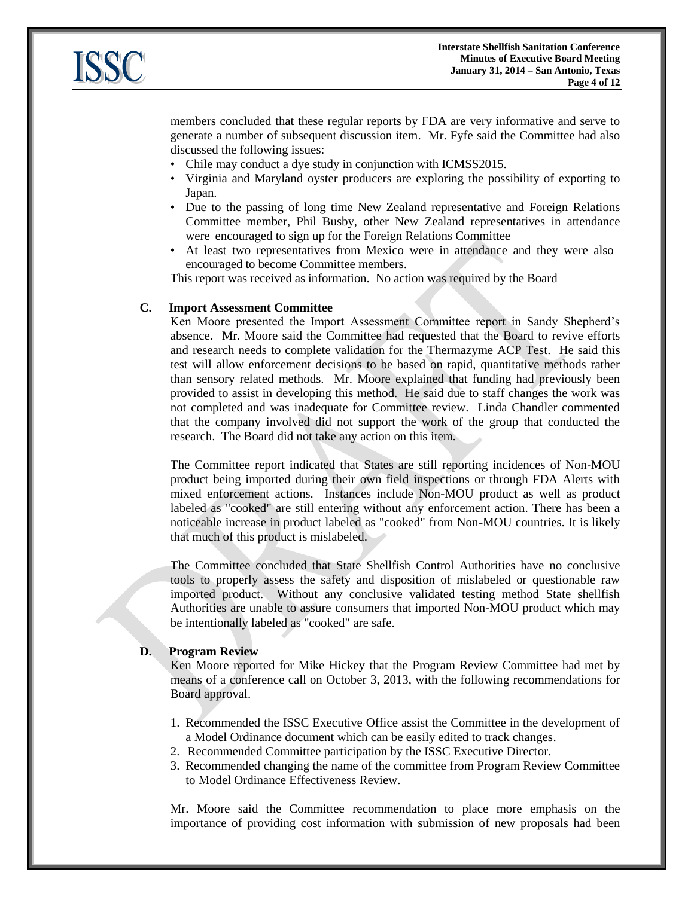

members concluded that these regular reports by FDA are very informative and serve to generate a number of subsequent discussion item. Mr. Fyfe said the Committee had also discussed the following issues:

- Chile may conduct a dye study in conjunction with ICMSS2015.
- Virginia and Maryland oyster producers are exploring the possibility of exporting to Japan.
- Due to the passing of long time New Zealand representative and Foreign Relations Committee member, Phil Busby, other New Zealand representatives in attendance were encouraged to sign up for the Foreign Relations Committee
- At least two representatives from Mexico were in attendance and they were also encouraged to become Committee members.

This report was received as information. No action was required by the Board

#### **C. Import Assessment Committee**

Ken Moore presented the Import Assessment Committee report in Sandy Shepherd's absence. Mr. Moore said the Committee had requested that the Board to revive efforts and research needs to complete validation for the Thermazyme ACP Test. He said this test will allow enforcement decisions to be based on rapid, quantitative methods rather than sensory related methods. Mr. Moore explained that funding had previously been provided to assist in developing this method. He said due to staff changes the work was not completed and was inadequate for Committee review. Linda Chandler commented that the company involved did not support the work of the group that conducted the research. The Board did not take any action on this item.

The Committee report indicated that States are still reporting incidences of Non-MOU product being imported during their own field inspections or through FDA Alerts with mixed enforcement actions. Instances include Non-MOU product as well as product labeled as "cooked" are still entering without any enforcement action. There has been a noticeable increase in product labeled as "cooked" from Non-MOU countries. It is likely that much of this product is mislabeled.

The Committee concluded that State Shellfish Control Authorities have no conclusive tools to properly assess the safety and disposition of mislabeled or questionable raw imported product. Without any conclusive validated testing method State shellfish Authorities are unable to assure consumers that imported Non-MOU product which may be intentionally labeled as "cooked" are safe.

### **D. Program Review**

Ken Moore reported for Mike Hickey that the Program Review Committee had met by means of a conference call on October 3, 2013, with the following recommendations for Board approval.

- 1. Recommended the ISSC Executive Office assist the Committee in the development of a Model Ordinance document which can be easily edited to track changes.
- 2. Recommended Committee participation by the ISSC Executive Director.
- 3. Recommended changing the name of the committee from Program Review Committee to Model Ordinance Effectiveness Review.

Mr. Moore said the Committee recommendation to place more emphasis on the importance of providing cost information with submission of new proposals had been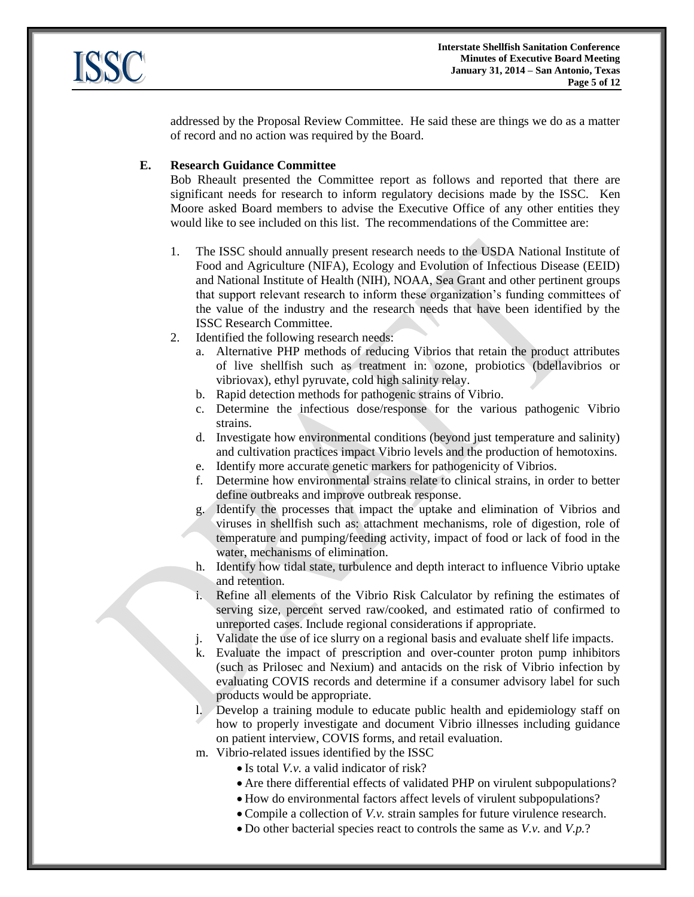

addressed by the Proposal Review Committee. He said these are things we do as a matter of record and no action was required by the Board.

## **E. Research Guidance Committee**

Bob Rheault presented the Committee report as follows and reported that there are significant needs for research to inform regulatory decisions made by the ISSC. Ken Moore asked Board members to advise the Executive Office of any other entities they would like to see included on this list. The recommendations of the Committee are:

- 1. The ISSC should annually present research needs to the USDA National Institute of Food and Agriculture (NIFA), Ecology and Evolution of Infectious Disease (EEID) and National Institute of Health (NIH), NOAA, Sea Grant and other pertinent groups that support relevant research to inform these organization's funding committees of the value of the industry and the research needs that have been identified by the ISSC Research Committee.
- 2. Identified the following research needs:
	- a. Alternative PHP methods of reducing Vibrios that retain the product attributes of live shellfish such as treatment in: ozone, probiotics (bdellavibrios or vibriovax), ethyl pyruvate, cold high salinity relay.
	- b. Rapid detection methods for pathogenic strains of Vibrio.
	- c. Determine the infectious dose/response for the various pathogenic Vibrio strains.
	- d. Investigate how environmental conditions (beyond just temperature and salinity) and cultivation practices impact Vibrio levels and the production of hemotoxins.
	- e. Identify more accurate genetic markers for pathogenicity of Vibrios.
	- f. Determine how environmental strains relate to clinical strains, in order to better define outbreaks and improve outbreak response.
	- g. Identify the processes that impact the uptake and elimination of Vibrios and viruses in shellfish such as: attachment mechanisms, role of digestion, role of temperature and pumping/feeding activity, impact of food or lack of food in the water, mechanisms of elimination.
	- h. Identify how tidal state, turbulence and depth interact to influence Vibrio uptake and retention.
	- i. Refine all elements of the Vibrio Risk Calculator by refining the estimates of serving size, percent served raw/cooked, and estimated ratio of confirmed to unreported cases. Include regional considerations if appropriate.
	- Validate the use of ice slurry on a regional basis and evaluate shelf life impacts.
	- k. Evaluate the impact of prescription and over-counter proton pump inhibitors (such as Prilosec and Nexium) and antacids on the risk of Vibrio infection by evaluating COVIS records and determine if a consumer advisory label for such products would be appropriate.
	- l. Develop a training module to educate public health and epidemiology staff on how to properly investigate and document Vibrio illnesses including guidance on patient interview, COVIS forms, and retail evaluation.
	- m. Vibrio-related issues identified by the ISSC
		- Is total *V.v.* a valid indicator of risk?
		- Are there differential effects of validated PHP on virulent subpopulations?
		- How do environmental factors affect levels of virulent subpopulations?
		- Compile a collection of *V.v.* strain samples for future virulence research.
		- Do other bacterial species react to controls the same as *V.v.* and *V.p.*?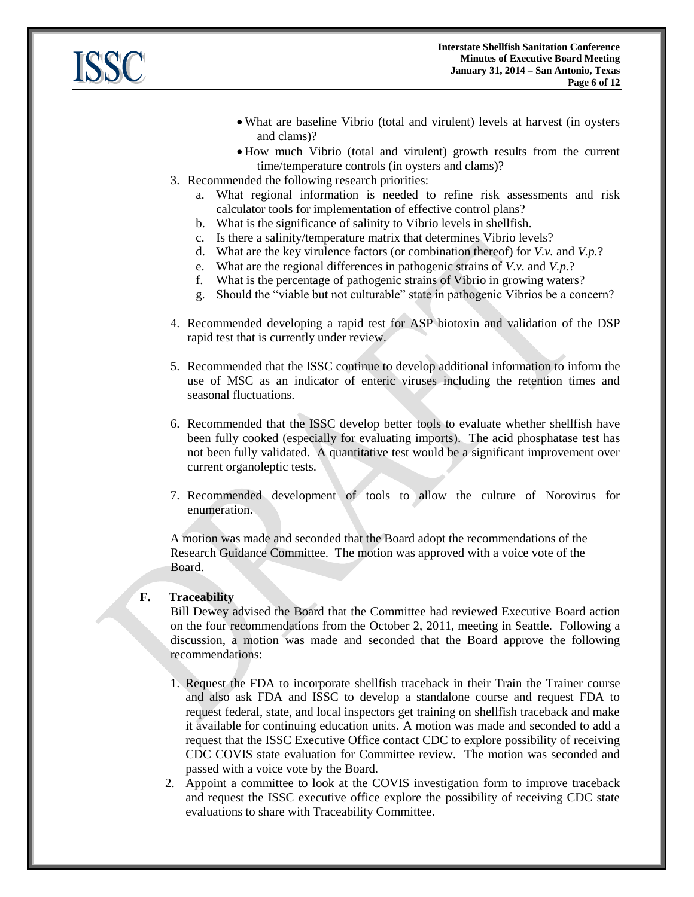

- What are baseline Vibrio (total and virulent) levels at harvest (in oysters and clams)?
- How much Vibrio (total and virulent) growth results from the current time/temperature controls (in oysters and clams)?
- 3. Recommended the following research priorities:
	- a. What regional information is needed to refine risk assessments and risk calculator tools for implementation of effective control plans?
	- b. What is the significance of salinity to Vibrio levels in shellfish.
	- c. Is there a salinity/temperature matrix that determines Vibrio levels?
	- d. What are the key virulence factors (or combination thereof) for *V.v.* and *V.p.*?
	- e. What are the regional differences in pathogenic strains of *V.v.* and *V.p.*?
	- f. What is the percentage of pathogenic strains of Vibrio in growing waters?
	- g. Should the "viable but not culturable" state in pathogenic Vibrios be a concern?
- 4. Recommended developing a rapid test for ASP biotoxin and validation of the DSP rapid test that is currently under review.
- 5. Recommended that the ISSC continue to develop additional information to inform the use of MSC as an indicator of enteric viruses including the retention times and seasonal fluctuations.
- 6. Recommended that the ISSC develop better tools to evaluate whether shellfish have been fully cooked (especially for evaluating imports). The acid phosphatase test has not been fully validated. A quantitative test would be a significant improvement over current organoleptic tests.
- 7. Recommended development of tools to allow the culture of Norovirus for enumeration.

A motion was made and seconded that the Board adopt the recommendations of the Research Guidance Committee. The motion was approved with a voice vote of the Board.

## **F. Traceability**

Bill Dewey advised the Board that the Committee had reviewed Executive Board action on the four recommendations from the October 2, 2011, meeting in Seattle. Following a discussion, a motion was made and seconded that the Board approve the following recommendations:

- 1. Request the FDA to incorporate shellfish traceback in their Train the Trainer course and also ask FDA and ISSC to develop a standalone course and request FDA to request federal, state, and local inspectors get training on shellfish traceback and make it available for continuing education units. A motion was made and seconded to add a request that the ISSC Executive Office contact CDC to explore possibility of receiving CDC COVIS state evaluation for Committee review. The motion was seconded and passed with a voice vote by the Board.
- 2. Appoint a committee to look at the COVIS investigation form to improve traceback and request the ISSC executive office explore the possibility of receiving CDC state evaluations to share with Traceability Committee.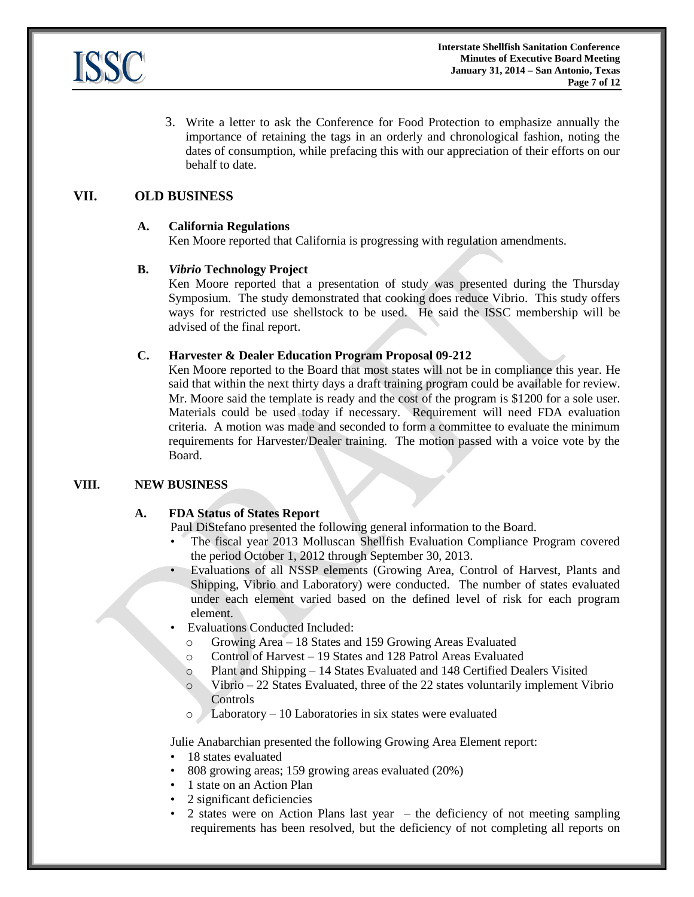

3. Write a letter to ask the Conference for Food Protection to emphasize annually the importance of retaining the tags in an orderly and chronological fashion, noting the dates of consumption, while prefacing this with our appreciation of their efforts on our behalf to date.

# **VII. OLD BUSINESS**

### **A. California Regulations**

Ken Moore reported that California is progressing with regulation amendments.

### **B.** *Vibrio* **Technology Project**

Ken Moore reported that a presentation of study was presented during the Thursday Symposium. The study demonstrated that cooking does reduce Vibrio. This study offers ways for restricted use shellstock to be used. He said the ISSC membership will be advised of the final report.

### **C. Harvester & Dealer Education Program Proposal 09-212**

Ken Moore reported to the Board that most states will not be in compliance this year. He said that within the next thirty days a draft training program could be available for review. Mr. Moore said the template is ready and the cost of the program is \$1200 for a sole user. Materials could be used today if necessary. Requirement will need FDA evaluation criteria. A motion was made and seconded to form a committee to evaluate the minimum requirements for Harvester/Dealer training. The motion passed with a voice vote by the Board.

#### **VIII. NEW BUSINESS**

#### **A. FDA Status of States Report**

Paul DiStefano presented the following general information to the Board.

- The fiscal year 2013 Molluscan Shellfish Evaluation Compliance Program covered the period October 1, 2012 through September 30, 2013.
- Evaluations of all NSSP elements (Growing Area, Control of Harvest, Plants and Shipping, Vibrio and Laboratory) were conducted. The number of states evaluated under each element varied based on the defined level of risk for each program element.
- Evaluations Conducted Included:
	- o Growing Area 18 States and 159 Growing Areas Evaluated
	- o Control of Harvest 19 States and 128 Patrol Areas Evaluated
	- o Plant and Shipping 14 States Evaluated and 148 Certified Dealers Visited
	- o Vibrio 22 States Evaluated, three of the 22 states voluntarily implement Vibrio Controls
	- $Laboratory 10 Laboratory$  Laboratories in six states were evaluated

Julie Anabarchian presented the following Growing Area Element report:

- 18 states evaluated
- 808 growing areas; 159 growing areas evaluated (20%)
- 1 state on an Action Plan
- 2 significant deficiencies
- 2 states were on Action Plans last year the deficiency of not meeting sampling requirements has been resolved, but the deficiency of not completing all reports on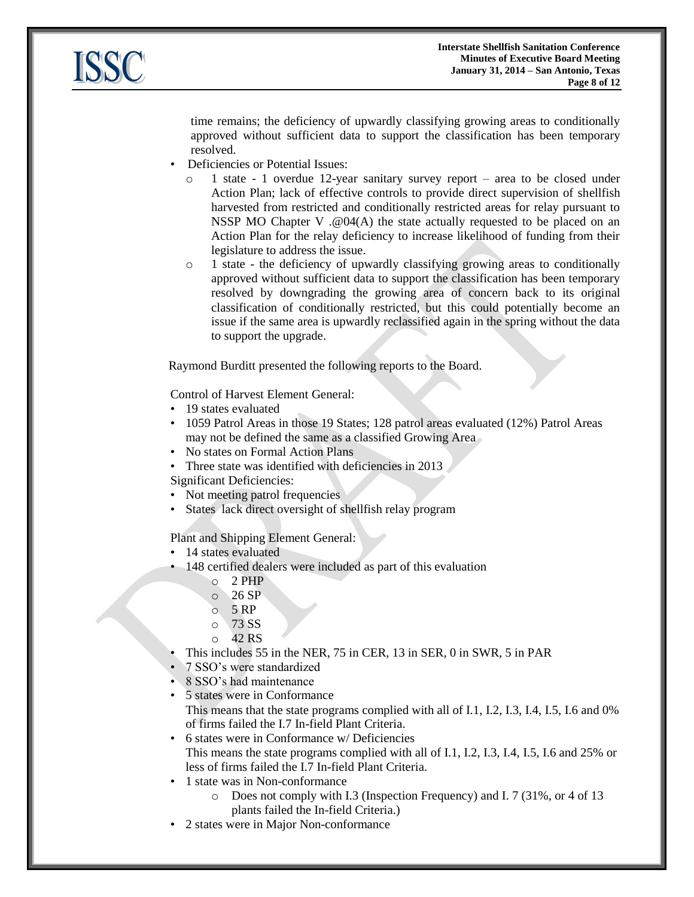

time remains; the deficiency of upwardly classifying growing areas to conditionally approved without sufficient data to support the classification has been temporary resolved.

- Deficiencies or Potential Issues:
	- 1 state 1 overdue 12-year sanitary survey report area to be closed under Action Plan; lack of effective controls to provide direct supervision of shellfish harvested from restricted and conditionally restricted areas for relay pursuant to NSSP MO Chapter V .@04(A) the state actually requested to be placed on an Action Plan for the relay deficiency to increase likelihood of funding from their legislature to address the issue.
	- o 1 state the deficiency of upwardly classifying growing areas to conditionally approved without sufficient data to support the classification has been temporary resolved by downgrading the growing area of concern back to its original classification of conditionally restricted, but this could potentially become an issue if the same area is upwardly reclassified again in the spring without the data to support the upgrade.

Raymond Burditt presented the following reports to the Board.

Control of Harvest Element General:

- 19 states evaluated
- 1059 Patrol Areas in those 19 States; 128 patrol areas evaluated (12%) Patrol Areas may not be defined the same as a classified Growing Area
- No states on Formal Action Plans
- Three state was identified with deficiencies in 2013
- Significant Deficiencies:
- Not meeting patrol frequencies
- States lack direct oversight of shellfish relay program

Plant and Shipping Element General:

- 14 states evaluated
- 148 certified dealers were included as part of this evaluation
	- o 2 PHP
	- $\circ$  26 SP
	- $\circ$  5 RP
	- o 73 SS
	- $O$  42 RS
	- This includes 55 in the NER, 75 in CER, 13 in SER, 0 in SWR, 5 in PAR
- 7 SSO's were standardized
- 8 SSO's had maintenance
- 5 states were in Conformance This means that the state programs complied with all of I.1, I.2, I.3, I.4, I.5, I.6 and 0% of firms failed the I.7 In-field Plant Criteria.
- 6 states were in Conformance w/ Deficiencies This means the state programs complied with all of I.1, I.2, I.3, I.4, I.5, I.6 and 25% or less of firms failed the I.7 In-field Plant Criteria.
- 1 state was in Non-conformance
	- o Does not comply with I.3 (Inspection Frequency) and I. 7 (31%, or 4 of 13 plants failed the In-field Criteria.)
- 2 states were in Major Non-conformance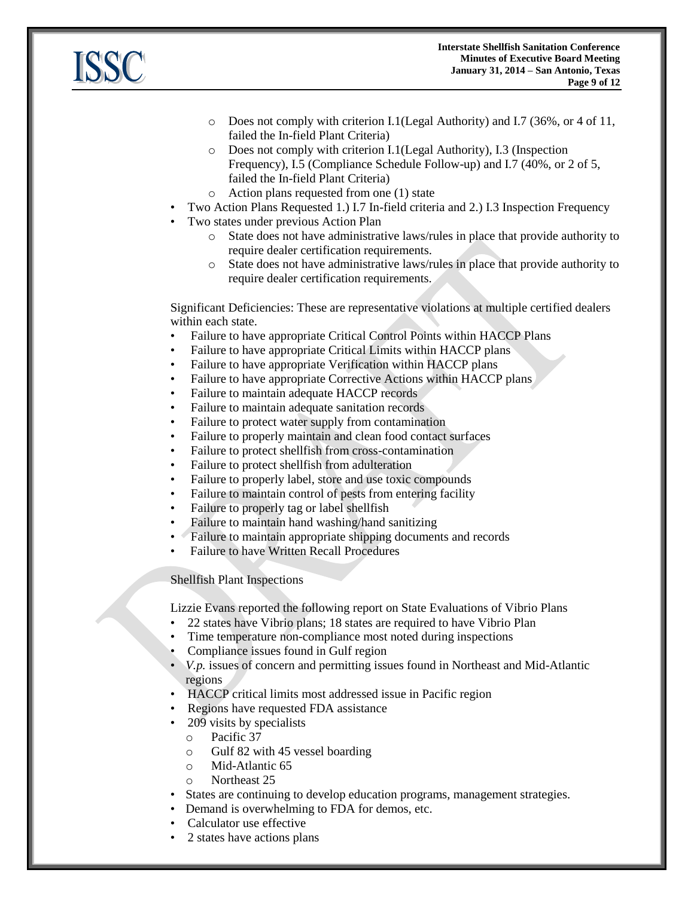

- o Does not comply with criterion I.1(Legal Authority) and I.7 (36%, or 4 of 11, failed the In-field Plant Criteria)
- o Does not comply with criterion I.1(Legal Authority), I.3 (Inspection Frequency), I.5 (Compliance Schedule Follow-up) and I.7 (40%, or 2 of 5, failed the In-field Plant Criteria)
- o Action plans requested from one (1) state
- Two Action Plans Requested 1.) I.7 In-field criteria and 2.) I.3 Inspection Frequency
- Two states under previous Action Plan
	- o State does not have administrative laws/rules in place that provide authority to require dealer certification requirements.
	- o State does not have administrative laws/rules in place that provide authority to require dealer certification requirements.

Significant Deficiencies: These are representative violations at multiple certified dealers within each state.

- Failure to have appropriate Critical Control Points within HACCP Plans
- Failure to have appropriate Critical Limits within HACCP plans
- Failure to have appropriate Verification within HACCP plans
- Failure to have appropriate Corrective Actions within HACCP plans
- Failure to maintain adequate HACCP records
- Failure to maintain adequate sanitation records
- Failure to protect water supply from contamination
- Failure to properly maintain and clean food contact surfaces
- Failure to protect shellfish from cross-contamination
- Failure to protect shellfish from adulteration
- Failure to properly label, store and use toxic compounds
- Failure to maintain control of pests from entering facility
- Failure to properly tag or label shellfish
- Failure to maintain hand washing/hand sanitizing
- Failure to maintain appropriate shipping documents and records
- Failure to have Written Recall Procedures

## Shellfish Plant Inspections

Lizzie Evans reported the following report on State Evaluations of Vibrio Plans

- 22 states have Vibrio plans; 18 states are required to have Vibrio Plan
- Time temperature non-compliance most noted during inspections
- Compliance issues found in Gulf region
- *V.p.* issues of concern and permitting issues found in Northeast and Mid-Atlantic regions
- HACCP critical limits most addressed issue in Pacific region
- Regions have requested FDA assistance
- 209 visits by specialists
	- o Pacific 37
	- o Gulf 82 with 45 vessel boarding
	- o Mid-Atlantic 65
	- o Northeast 25
- States are continuing to develop education programs, management strategies.
- Demand is overwhelming to FDA for demos, etc.
- Calculator use effective
- 2 states have actions plans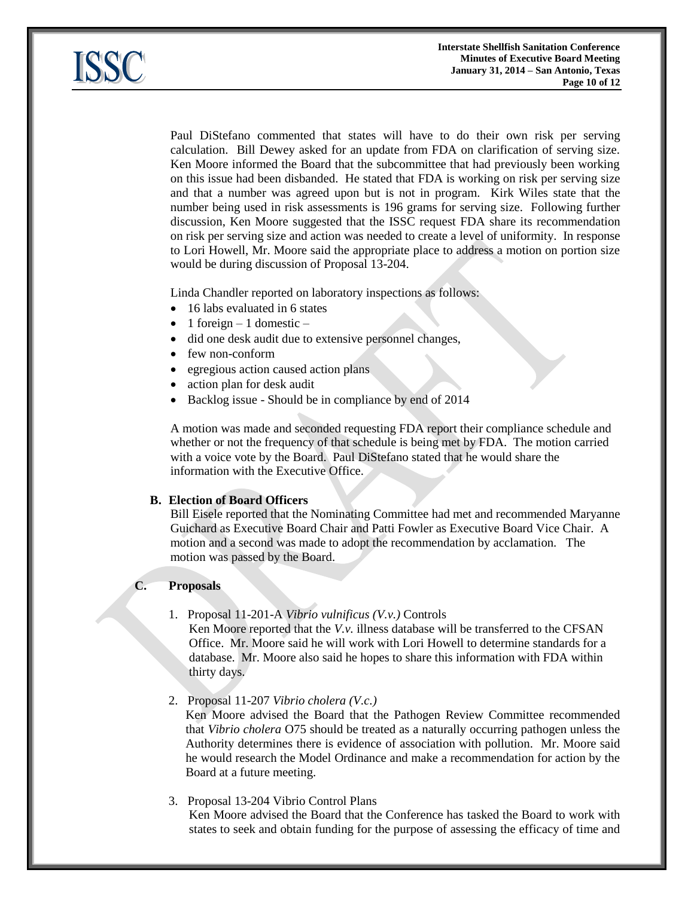

Paul DiStefano commented that states will have to do their own risk per serving calculation. Bill Dewey asked for an update from FDA on clarification of serving size. Ken Moore informed the Board that the subcommittee that had previously been working on this issue had been disbanded. He stated that FDA is working on risk per serving size and that a number was agreed upon but is not in program. Kirk Wiles state that the number being used in risk assessments is 196 grams for serving size. Following further discussion, Ken Moore suggested that the ISSC request FDA share its recommendation on risk per serving size and action was needed to create a level of uniformity. In response to Lori Howell, Mr. Moore said the appropriate place to address a motion on portion size would be during discussion of Proposal 13-204.

Linda Chandler reported on laboratory inspections as follows:

- 16 labs evaluated in 6 states
- 1 foreign 1 domestic –
- did one desk audit due to extensive personnel changes,
- few non-conform
- egregious action caused action plans
- action plan for desk audit
- Backlog issue Should be in compliance by end of 2014

A motion was made and seconded requesting FDA report their compliance schedule and whether or not the frequency of that schedule is being met by FDA. The motion carried with a voice vote by the Board. Paul DiStefano stated that he would share the information with the Executive Office.

# **B. Election of Board Officers**

Bill Eisele reported that the Nominating Committee had met and recommended Maryanne Guichard as Executive Board Chair and Patti Fowler as Executive Board Vice Chair. A motion and a second was made to adopt the recommendation by acclamation. The motion was passed by the Board.

# **C. Proposals**

1. Proposal 11-201-A *Vibrio vulnificus (V.v.)* Controls

Ken Moore reported that the *V.v.* illness database will be transferred to the CFSAN Office. Mr. Moore said he will work with Lori Howell to determine standards for a database. Mr. Moore also said he hopes to share this information with FDA within thirty days.

2. Proposal 11-207 *Vibrio cholera (V.c.)*

Ken Moore advised the Board that the Pathogen Review Committee recommended that *Vibrio cholera* O75 should be treated as a naturally occurring pathogen unless the Authority determines there is evidence of association with pollution. Mr. Moore said he would research the Model Ordinance and make a recommendation for action by the Board at a future meeting.

3. Proposal 13-204 Vibrio Control Plans

Ken Moore advised the Board that the Conference has tasked the Board to work with states to seek and obtain funding for the purpose of assessing the efficacy of time and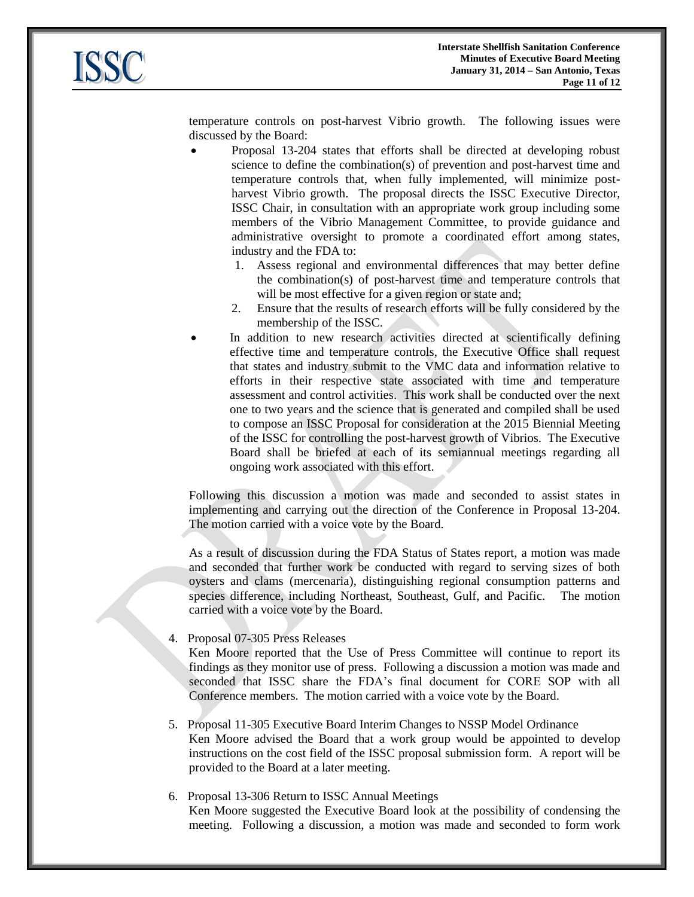

temperature controls on post-harvest Vibrio growth. The following issues were discussed by the Board:

- Proposal 13-204 states that efforts shall be directed at developing robust science to define the combination(s) of prevention and post-harvest time and temperature controls that, when fully implemented, will minimize postharvest Vibrio growth. The proposal directs the ISSC Executive Director, ISSC Chair, in consultation with an appropriate work group including some members of the Vibrio Management Committee, to provide guidance and administrative oversight to promote a coordinated effort among states, industry and the FDA to:
	- 1. Assess regional and environmental differences that may better define the combination(s) of post-harvest time and temperature controls that will be most effective for a given region or state and;
	- 2. Ensure that the results of research efforts will be fully considered by the membership of the ISSC.
- In addition to new research activities directed at scientifically defining effective time and temperature controls, the Executive Office shall request that states and industry submit to the VMC data and information relative to efforts in their respective state associated with time and temperature assessment and control activities. This work shall be conducted over the next one to two years and the science that is generated and compiled shall be used to compose an ISSC Proposal for consideration at the 2015 Biennial Meeting of the ISSC for controlling the post-harvest growth of Vibrios. The Executive Board shall be briefed at each of its semiannual meetings regarding all ongoing work associated with this effort.

Following this discussion a motion was made and seconded to assist states in implementing and carrying out the direction of the Conference in Proposal 13-204. The motion carried with a voice vote by the Board.

As a result of discussion during the FDA Status of States report, a motion was made and seconded that further work be conducted with regard to serving sizes of both oysters and clams (mercenaria), distinguishing regional consumption patterns and species difference, including Northeast, Southeast, Gulf, and Pacific. The motion carried with a voice vote by the Board.

## 4. Proposal 07-305 Press Releases

Ken Moore reported that the Use of Press Committee will continue to report its findings as they monitor use of press. Following a discussion a motion was made and seconded that ISSC share the FDA's final document for CORE SOP with all Conference members. The motion carried with a voice vote by the Board.

- 5. Proposal 11-305 Executive Board Interim Changes to NSSP Model Ordinance Ken Moore advised the Board that a work group would be appointed to develop instructions on the cost field of the ISSC proposal submission form. A report will be provided to the Board at a later meeting.
- 6. Proposal 13-306 Return to ISSC Annual Meetings Ken Moore suggested the Executive Board look at the possibility of condensing the meeting. Following a discussion, a motion was made and seconded to form work